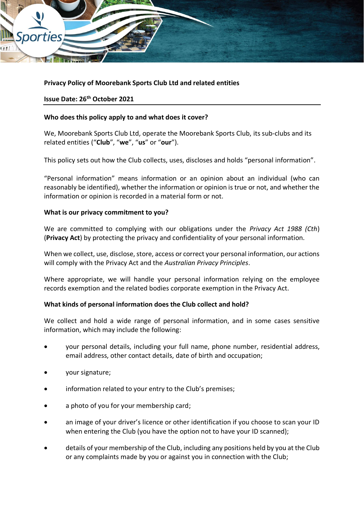

## **Privacy Policy of Moorebank Sports Club Ltd and related entities**

#### **Issue Date: 26th October 2021**

#### **Who does this policy apply to and what does it cover?**

We, Moorebank Sports Club Ltd, operate the Moorebank Sports Club, its sub-clubs and its related entities ("**Club**", "**we**", "**us**" or "**our**").

This policy sets out how the Club collects, uses, discloses and holds "personal information".

"Personal information" means information or an opinion about an individual (who can reasonably be identified), whether the information or opinion is true or not, and whether the information or opinion is recorded in a material form or not.

#### **What is our privacy commitment to you?**

We are committed to complying with our obligations under the *Privacy Act 1988 (Cth*) (**Privacy Act**) by protecting the privacy and confidentiality of your personal information.

When we collect, use, disclose, store, access or correct your personal information, our actions will comply with the Privacy Act and the *Australian Privacy Principles*.

Where appropriate, we will handle your personal information relying on the employee records exemption and the related bodies corporate exemption in the Privacy Act.

#### **What kinds of personal information does the Club collect and hold?**

We collect and hold a wide range of personal information, and in some cases sensitive information, which may include the following:

- your personal details, including your full name, phone number, residential address, email address, other contact details, date of birth and occupation;
- your signature;
- information related to your entry to the Club's premises;
- a photo of you for your membership card;
- an image of your driver's licence or other identification if you choose to scan your ID when entering the Club (you have the option not to have your ID scanned);
- details of your membership of the Club, including any positions held by you at the Club or any complaints made by you or against you in connection with the Club;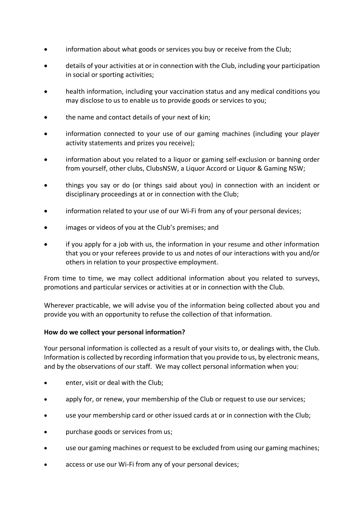- information about what goods or services you buy or receive from the Club;
- details of your activities at or in connection with the Club, including your participation in social or sporting activities;
- health information, including your vaccination status and any medical conditions you may disclose to us to enable us to provide goods or services to you;
- the name and contact details of your next of kin;
- information connected to your use of our gaming machines (including your player activity statements and prizes you receive);
- information about you related to a liquor or gaming self-exclusion or banning order from yourself, other clubs, ClubsNSW, a Liquor Accord or Liquor & Gaming NSW;
- things you say or do (or things said about you) in connection with an incident or disciplinary proceedings at or in connection with the Club;
- information related to your use of our Wi-Fi from any of your personal devices;
- images or videos of you at the Club's premises; and
- if you apply for a job with us, the information in your resume and other information that you or your referees provide to us and notes of our interactions with you and/or others in relation to your prospective employment.

From time to time, we may collect additional information about you related to surveys, promotions and particular services or activities at or in connection with the Club.

Wherever practicable, we will advise you of the information being collected about you and provide you with an opportunity to refuse the collection of that information.

#### **How do we collect your personal information?**

Your personal information is collected as a result of your visits to, or dealings with, the Club. Information is collected by recording information that you provide to us, by electronic means, and by the observations of our staff. We may collect personal information when you:

- enter, visit or deal with the Club;
- apply for, or renew, your membership of the Club or request to use our services;
- use your membership card or other issued cards at or in connection with the Club;
- purchase goods or services from us;
- use our gaming machines or request to be excluded from using our gaming machines;
- access or use our Wi-Fi from any of your personal devices;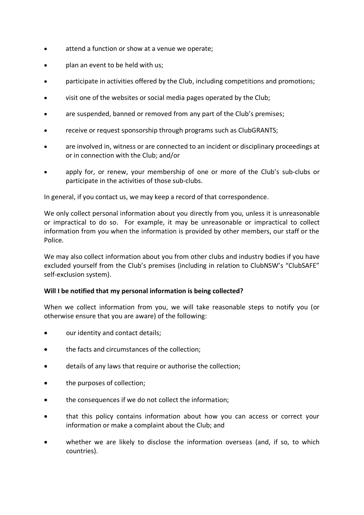- attend a function or show at a venue we operate;
- plan an event to be held with us;
- participate in activities offered by the Club, including competitions and promotions;
- visit one of the websites or social media pages operated by the Club;
- are suspended, banned or removed from any part of the Club's premises;
- receive or request sponsorship through programs such as ClubGRANTS;
- are involved in, witness or are connected to an incident or disciplinary proceedings at or in connection with the Club; and/or
- apply for, or renew, your membership of one or more of the Club's sub-clubs or participate in the activities of those sub-clubs.

In general, if you contact us, we may keep a record of that correspondence.

We only collect personal information about you directly from you, unless it is unreasonable or impractical to do so. For example, it may be unreasonable or impractical to collect information from you when the information is provided by other members, our staff or the Police.

We may also collect information about you from other clubs and industry bodies if you have excluded yourself from the Club's premises (including in relation to ClubNSW's "ClubSAFE" self-exclusion system).

#### **Will I be notified that my personal information is being collected?**

When we collect information from you, we will take reasonable steps to notify you (or otherwise ensure that you are aware) of the following:

- our identity and contact details;
- the facts and circumstances of the collection;
- details of any laws that require or authorise the collection;
- the purposes of collection;
- the consequences if we do not collect the information;
- that this policy contains information about how you can access or correct your information or make a complaint about the Club; and
- whether we are likely to disclose the information overseas (and, if so, to which countries).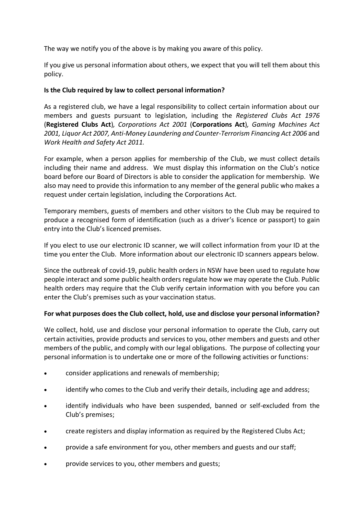The way we notify you of the above is by making you aware of this policy.

If you give us personal information about others, we expect that you will tell them about this policy.

# **Is the Club required by law to collect personal information?**

As a registered club, we have a legal responsibility to collect certain information about our members and guests pursuant to legislation, including the *Registered Clubs Act 1976* (**Registered Clubs Act**)*, Corporations Act 2001* (**Corporations Act**)*, Gaming Machines Act 2001, Liquor Act 2007, Anti-Money Laundering and Counter-Terrorism Financing Act 2006* and *Work Health and Safety Act 2011.*

For example, when a person applies for membership of the Club, we must collect details including their name and address. We must display this information on the Club's notice board before our Board of Directors is able to consider the application for membership. We also may need to provide this information to any member of the general public who makes a request under certain legislation, including the Corporations Act.

Temporary members, guests of members and other visitors to the Club may be required to produce a recognised form of identification (such as a driver's licence or passport) to gain entry into the Club's licenced premises.

If you elect to use our electronic ID scanner, we will collect information from your ID at the time you enter the Club. More information about our electronic ID scanners appears below.

Since the outbreak of covid-19, public health orders in NSW have been used to regulate how people interact and some public health orders regulate how we may operate the Club. Public health orders may require that the Club verify certain information with you before you can enter the Club's premises such as your vaccination status.

# **For what purposes does the Club collect, hold, use and disclose your personal information?**

We collect, hold, use and disclose your personal information to operate the Club, carry out certain activities, provide products and services to you, other members and guests and other members of the public, and comply with our legal obligations. The purpose of collecting your personal information is to undertake one or more of the following activities or functions:

- consider applications and renewals of membership;
- identify who comes to the Club and verify their details, including age and address;
- identify individuals who have been suspended, banned or self-excluded from the Club's premises;
- create registers and display information as required by the Registered Clubs Act;
- provide a safe environment for you, other members and guests and our staff;
- provide services to you, other members and guests;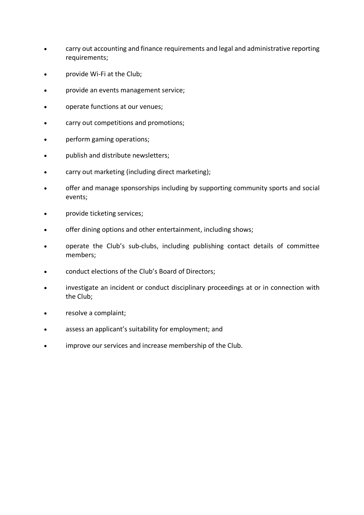- carry out accounting and finance requirements and legal and administrative reporting requirements;
- provide Wi-Fi at the Club;
- provide an events management service;
- operate functions at our venues;
- carry out competitions and promotions;
- perform gaming operations;
- publish and distribute newsletters;
- carry out marketing (including direct marketing);
- offer and manage sponsorships including by supporting community sports and social events;
- provide ticketing services;
- offer dining options and other entertainment, including shows;
- operate the Club's sub-clubs, including publishing contact details of committee members;
- conduct elections of the Club's Board of Directors;
- investigate an incident or conduct disciplinary proceedings at or in connection with the Club;
- resolve a complaint;
- assess an applicant's suitability for employment; and
- improve our services and increase membership of the Club.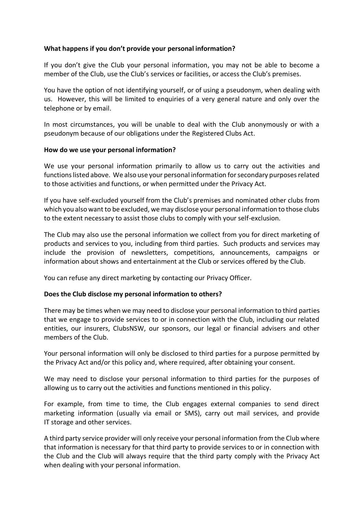## **What happens if you don't provide your personal information?**

If you don't give the Club your personal information, you may not be able to become a member of the Club, use the Club's services or facilities, or access the Club's premises.

You have the option of not identifying yourself, or of using a pseudonym, when dealing with us. However, this will be limited to enquiries of a very general nature and only over the telephone or by email.

In most circumstances, you will be unable to deal with the Club anonymously or with a pseudonym because of our obligations under the Registered Clubs Act.

#### **How do we use your personal information?**

We use your personal information primarily to allow us to carry out the activities and functions listed above. We also use your personal information for secondary purposes related to those activities and functions, or when permitted under the Privacy Act.

If you have self-excluded yourself from the Club's premises and nominated other clubs from which you also want to be excluded, we may disclose your personal information to those clubs to the extent necessary to assist those clubs to comply with your self-exclusion.

The Club may also use the personal information we collect from you for direct marketing of products and services to you, including from third parties. Such products and services may include the provision of newsletters, competitions, announcements, campaigns or information about shows and entertainment at the Club or services offered by the Club.

You can refuse any direct marketing by contacting our Privacy Officer.

# **Does the Club disclose my personal information to others?**

There may be times when we may need to disclose your personal information to third parties that we engage to provide services to or in connection with the Club, including our related entities, our insurers, ClubsNSW, our sponsors, our legal or financial advisers and other members of the Club.

Your personal information will only be disclosed to third parties for a purpose permitted by the Privacy Act and/or this policy and, where required, after obtaining your consent.

We may need to disclose your personal information to third parties for the purposes of allowing us to carry out the activities and functions mentioned in this policy.

For example, from time to time, the Club engages external companies to send direct marketing information (usually via email or SMS), carry out mail services, and provide IT storage and other services.

A third party service provider will only receive your personal information from the Club where that information is necessary for that third party to provide services to or in connection with the Club and the Club will always require that the third party comply with the Privacy Act when dealing with your personal information.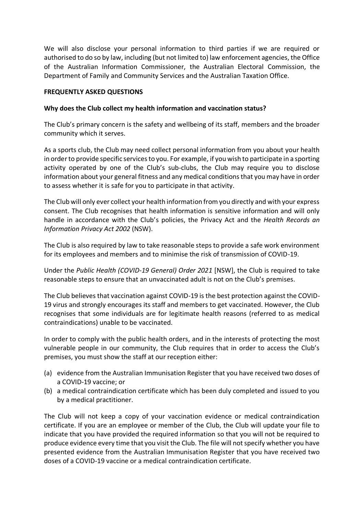We will also disclose your personal information to third parties if we are required or authorised to do so by law, including (but not limited to) law enforcement agencies, the Office of the Australian Information Commissioner, the Australian Electoral Commission, the Department of Family and Community Services and the Australian Taxation Office.

### **FREQUENTLY ASKED QUESTIONS**

### **Why does the Club collect my health information and vaccination status?**

The Club's primary concern is the safety and wellbeing of its staff, members and the broader community which it serves.

As a sports club, the Club may need collect personal information from you about your health in order to provide specific services to you. For example, if you wish to participate in a sporting activity operated by one of the Club's sub-clubs, the Club may require you to disclose information about your general fitness and any medical conditions that you may have in order to assess whether it is safe for you to participate in that activity.

The Club will only ever collect your health information from you directly and with your express consent. The Club recognises that health information is sensitive information and will only handle in accordance with the Club's policies, the Privacy Act and the *Health Records an Information Privacy Act 2002* (NSW).

The Club is also required by law to take reasonable steps to provide a safe work environment for its employees and members and to minimise the risk of transmission of COVID-19.

Under the *Public Health (COVID-19 General) Order 2021* [NSW], the Club is required to take reasonable steps to ensure that an unvaccinated adult is not on the Club's premises.

The Club believes that vaccination against COVID-19 is the best protection against the COVID-19 virus and strongly encourages its staff and members to get vaccinated. However, the Club recognises that some individuals are for legitimate health reasons (referred to as medical contraindications) unable to be vaccinated.

In order to comply with the public health orders, and in the interests of protecting the most vulnerable people in our community, the Club requires that in order to access the Club's premises, you must show the staff at our reception either:

- (a) evidence from the Australian Immunisation Register that you have received two doses of a COVID-19 vaccine; or
- (b) a medical contraindication certificate which has been duly completed and issued to you by a medical practitioner.

The Club will not keep a copy of your vaccination evidence or medical contraindication certificate. If you are an employee or member of the Club, the Club will update your file to indicate that you have provided the required information so that you will not be required to produce evidence every time that you visit the Club. The file will not specify whether you have presented evidence from the Australian Immunisation Register that you have received two doses of a COVID-19 vaccine or a medical contraindication certificate.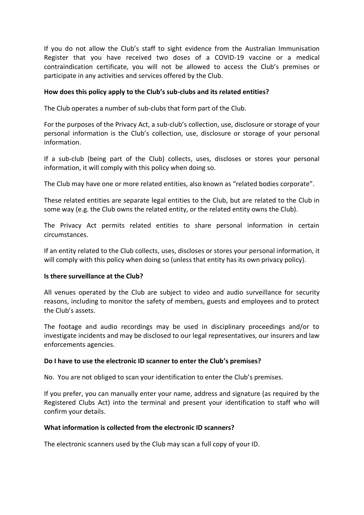If you do not allow the Club's staff to sight evidence from the Australian Immunisation Register that you have received two doses of a COVID-19 vaccine or a medical contraindication certificate, you will not be allowed to access the Club's premises or participate in any activities and services offered by the Club.

#### **How does this policy apply to the Club's sub-clubs and its related entities?**

The Club operates a number of sub-clubs that form part of the Club.

For the purposes of the Privacy Act, a sub-club's collection, use, disclosure or storage of your personal information is the Club's collection, use, disclosure or storage of your personal information.

If a sub-club (being part of the Club) collects, uses, discloses or stores your personal information, it will comply with this policy when doing so.

The Club may have one or more related entities, also known as "related bodies corporate".

These related entities are separate legal entities to the Club, but are related to the Club in some way (e.g. the Club owns the related entity, or the related entity owns the Club).

The Privacy Act permits related entities to share personal information in certain circumstances.

If an entity related to the Club collects, uses, discloses or stores your personal information, it will comply with this policy when doing so (unless that entity has its own privacy policy).

#### **Is there surveillance at the Club?**

All venues operated by the Club are subject to video and audio surveillance for security reasons, including to monitor the safety of members, guests and employees and to protect the Club's assets.

The footage and audio recordings may be used in disciplinary proceedings and/or to investigate incidents and may be disclosed to our legal representatives, our insurers and law enforcements agencies.

#### **Do I have to use the electronic ID scanner to enter the Club's premises?**

No. You are not obliged to scan your identification to enter the Club's premises.

If you prefer, you can manually enter your name, address and signature (as required by the Registered Clubs Act) into the terminal and present your identification to staff who will confirm your details.

#### **What information is collected from the electronic ID scanners?**

The electronic scanners used by the Club may scan a full copy of your ID.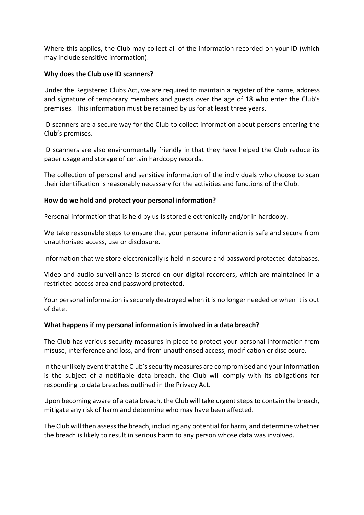Where this applies, the Club may collect all of the information recorded on your ID (which may include sensitive information).

## **Why does the Club use ID scanners?**

Under the Registered Clubs Act, we are required to maintain a register of the name, address and signature of temporary members and guests over the age of 18 who enter the Club's premises. This information must be retained by us for at least three years.

ID scanners are a secure way for the Club to collect information about persons entering the Club's premises.

ID scanners are also environmentally friendly in that they have helped the Club reduce its paper usage and storage of certain hardcopy records.

The collection of personal and sensitive information of the individuals who choose to scan their identification is reasonably necessary for the activities and functions of the Club.

## **How do we hold and protect your personal information?**

Personal information that is held by us is stored electronically and/or in hardcopy.

We take reasonable steps to ensure that your personal information is safe and secure from unauthorised access, use or disclosure.

Information that we store electronically is held in secure and password protected databases.

Video and audio surveillance is stored on our digital recorders, which are maintained in a restricted access area and password protected.

Your personal information is securely destroyed when it is no longer needed or when it is out of date.

#### **What happens if my personal information is involved in a data breach?**

The Club has various security measures in place to protect your personal information from misuse, interference and loss, and from unauthorised access, modification or disclosure.

In the unlikely event that the Club's security measures are compromised and your information is the subject of a notifiable data breach, the Club will comply with its obligations for responding to data breaches outlined in the Privacy Act.

Upon becoming aware of a data breach, the Club will take urgent steps to contain the breach, mitigate any risk of harm and determine who may have been affected.

The Club will then assess the breach, including any potential for harm, and determine whether the breach is likely to result in serious harm to any person whose data was involved.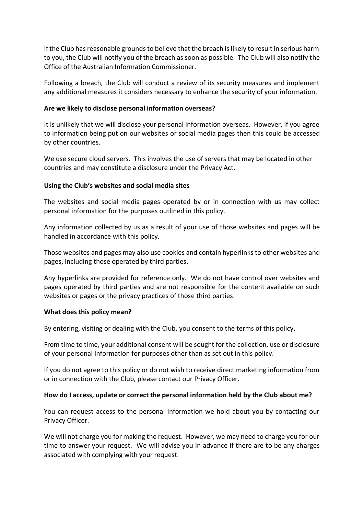If the Club has reasonable grounds to believe that the breach is likely to result in serious harm to you, the Club will notify you of the breach as soon as possible. The Club will also notify the Office of the Australian Information Commissioner.

Following a breach, the Club will conduct a review of its security measures and implement any additional measures it considers necessary to enhance the security of your information.

#### **Are we likely to disclose personal information overseas?**

It is unlikely that we will disclose your personal information overseas. However, if you agree to information being put on our websites or social media pages then this could be accessed by other countries.

We use secure cloud servers. This involves the use of servers that may be located in other countries and may constitute a disclosure under the Privacy Act.

## **Using the Club's websites and social media sites**

The websites and social media pages operated by or in connection with us may collect personal information for the purposes outlined in this policy.

Any information collected by us as a result of your use of those websites and pages will be handled in accordance with this policy.

Those websites and pages may also use cookies and contain hyperlinks to other websites and pages, including those operated by third parties.

Any hyperlinks are provided for reference only. We do not have control over websites and pages operated by third parties and are not responsible for the content available on such websites or pages or the privacy practices of those third parties.

#### **What does this policy mean?**

By entering, visiting or dealing with the Club, you consent to the terms of this policy.

From time to time, your additional consent will be sought for the collection, use or disclosure of your personal information for purposes other than as set out in this policy.

If you do not agree to this policy or do not wish to receive direct marketing information from or in connection with the Club, please contact our Privacy Officer.

# **How do I access, update or correct the personal information held by the Club about me?**

You can request access to the personal information we hold about you by contacting our Privacy Officer.

We will not charge you for making the request. However, we may need to charge you for our time to answer your request. We will advise you in advance if there are to be any charges associated with complying with your request.